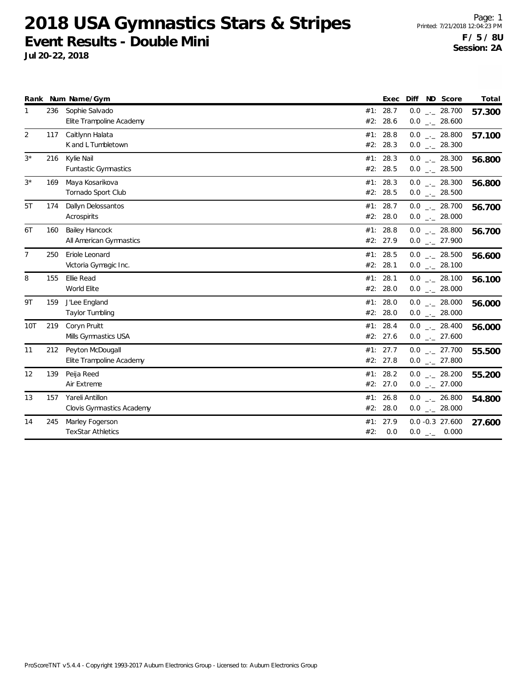|                |     | Rank Num Name/Gym                                |     | Exec                 | Diff ND Score                        | Total  |
|----------------|-----|--------------------------------------------------|-----|----------------------|--------------------------------------|--------|
| 1              | 236 | Sophie Salvado<br>Elite Trampoline Academy       |     | #1: 28.7<br>#2: 28.6 | $0.0$ _ 28.700<br>$0.0$ _ 28.600     | 57.300 |
| $\overline{2}$ | 117 | Caitlynn Halata<br>K and L Tumbletown            |     | #1: 28.8<br>#2: 28.3 | $0.0$ _ 28.800<br>$0.0$ _ 28.300     | 57.100 |
| $3^{\star}$    | 216 | Kylie Nail<br><b>Funtastic Gymnastics</b>        |     | #1: 28.3<br>#2: 28.5 | $0.0$ _ 28.300<br>$0.0$ _ 28.500     | 56.800 |
| $3^{\star}$    | 169 | Maya Kosarikova<br>Tornado Sport Club            |     | #1: 28.3<br>#2: 28.5 | $0.0$ _ 28.300<br>$0.0$ _ 28.500     | 56.800 |
| 5T             | 174 | Dallyn Delossantos<br>Acrospirits                |     | #1: 28.7<br>#2: 28.0 | $0.0$ _ 28.700<br>$0.0$ _ 28.000     | 56.700 |
| 6T             | 160 | <b>Bailey Hancock</b><br>All American Gymnastics |     | #1: 28.8<br>#2: 27.9 | $0.0$ _._ 28.800<br>$0.0$ _._ 27.900 | 56.700 |
| $\overline{7}$ | 250 | Eriole Leonard<br>Victoria Gymagic Inc.          |     | #1: 28.5<br>#2: 28.1 | $0.0$ _._ 28.500<br>$0.0$ _ 28.100   | 56.600 |
| 8              | 155 | Ellie Read<br>World Elite                        |     | #1: 28.1<br>#2: 28.0 | $0.0$ _ 28.100<br>$0.0$ _._ 28.000   | 56.100 |
| 9T             | 159 | J'Lee England<br>Taylor Tumbling                 |     | #1: 28.0<br>#2: 28.0 | $0.0$ _ 28.000<br>$0.0$ _ 28.000     | 56.000 |
| 10T            | 219 | Coryn Pruitt<br>Mills Gymnastics USA             |     | #1: 28.4<br>#2: 27.6 | $0.0$ _ 28.400<br>$0.0$ _ 27.600     | 56.000 |
| 11             | 212 | Peyton McDougall<br>Elite Trampoline Academy     |     | #1: 27.7<br>#2: 27.8 | $0.0$ _ 27.700<br>$0.0$ _ 27.800     | 55.500 |
| 12             | 139 | Peija Reed<br>Air Extreme                        |     | #1: 28.2<br>#2: 27.0 | $0.0$ _ 28.200<br>$0.0$ _ 27.000     | 55.200 |
| 13             | 157 | Yareli Antillon<br>Clovis Gymnastics Academy     | #1: | 26.8<br>#2: 28.0     | $0.0$ _ 26.800<br>$0.0$ _ 28.000     | 54.800 |
| 14             | 245 | Marley Fogerson<br><b>TexStar Athletics</b>      | #2: | #1: 27.9<br>0.0      | $0.0 - 0.3$ 27.600<br>$0.0$ _ 0.000  | 27.600 |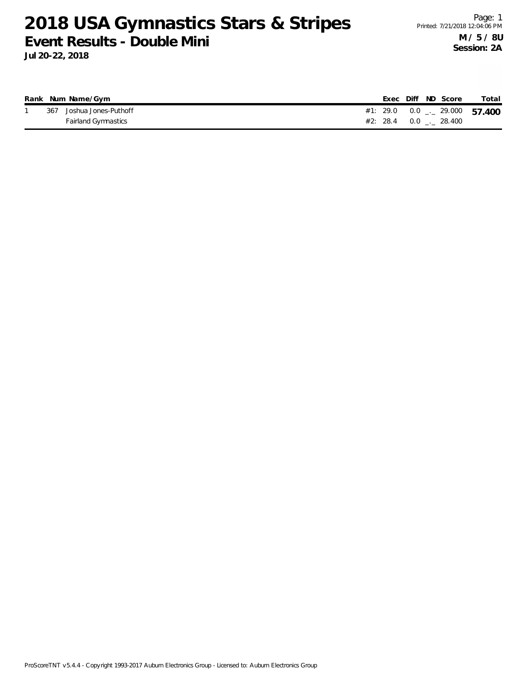|     | Rank Num Name/Gym    |  |  | Exec Diff ND Score | Total                                 |
|-----|----------------------|--|--|--------------------|---------------------------------------|
| 367 | Joshua Jones-Puthoff |  |  |                    | #1: 29.0  0.0 $\ldots$ 29.000  57.400 |
|     | Fairland Gymnastics  |  |  |                    |                                       |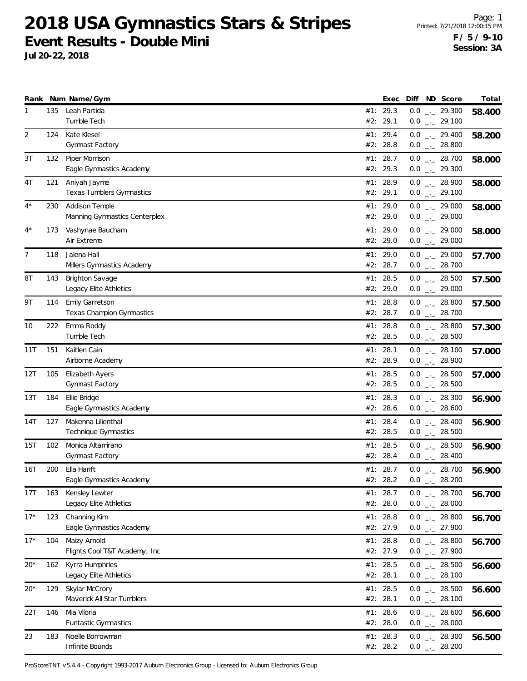**Jul 20-22, 2018**

|       |     | Rank Num Name/Gym                                   | Exec                 | Diff | ND Score                                         | Total  |
|-------|-----|-----------------------------------------------------|----------------------|------|--------------------------------------------------|--------|
| 1     | 135 | Leah Partida<br>Tumble Tech                         | #1: 29.3<br>#2: 29.1 |      | $0.0$ _ 29.300<br>$0.0$ $_{\leftarrow}$ 29.100   | 58.400 |
| 2     | 124 | Kate Klesel<br>Gymnast Factory                      | #1: 29.4<br>#2: 28.8 |      | $0.0$ $_{\leftarrow}$ 29.400<br>$0.0$ _._ 28.800 | 58.200 |
| 3T    | 132 | Piper Morrison<br>Eagle Gymnastics Academy          | #1: 28.7<br>#2: 29.3 |      | $0.0$ _ 28.700<br>$0.0$ $_{\leftarrow}$ 29.300   | 58.000 |
| 4T    | 121 | Aniyah Jayme<br><b>Texas Tumblers Gymnastics</b>    | #1: 28.9<br>#2: 29.1 |      | $0.0$ _ 28.900<br>$0.0$ _ 29.100                 | 58.000 |
| $4^*$ | 230 | Addison Temple<br>Manning Gymnastics Centerplex     | #1: 29.0<br>#2: 29.0 |      | $0.0$ _ 29.000<br>$0.0$ _ 29.000                 | 58.000 |
| $4^*$ | 173 | Vashynae Baucham<br>Air Extreme                     | #1: 29.0<br>#2: 29.0 |      | $0.0$ _ 29.000<br>$0.0$ _ 29.000                 | 58.000 |
| 7     | 118 | Jalena Hall<br>Millers Gymnastics Academy           | #1: 29.0<br>#2: 28.7 |      | $0.0$ _ 29.000<br>$0.0$ _ 28.700                 | 57.700 |
| 8Τ    | 143 | <b>Brighton Savage</b><br>Legacy Elite Athletics    | #1: 28.5<br>#2: 29.0 |      | $0.0$ _ 28.500<br>$0.0$ _ 29.000                 | 57.500 |
| 9Τ    | 114 | <b>Emily Garretson</b><br>Texas Champion Gymnastics | #1: 28.8<br>#2: 28.7 |      | $0.0$ _ 28.800<br>$0.0$ _ 28.700                 | 57.500 |
| 10    | 222 | Emma Roddy<br>Tumble Tech                           | #1: 28.8<br>#2: 28.5 |      | $0.0$ _ 28.800<br>$0.0$ _ 28.500                 | 57.300 |
| 11T   | 151 | Kaitlen Cain<br>Airborne Academy                    | #1: 28.1<br>#2: 28.9 |      | $0.0$ _ 28.100<br>$0.0$ _ 28.900                 | 57.000 |
| 12T   | 105 | <b>Elizabeth Ayers</b><br><b>Gymnast Factory</b>    | #1: 28.5<br>#2: 28.5 |      | $0.0$ _ 28.500<br>$0.0$ _ 28.500                 | 57.000 |
| 13T   | 184 | Ellie Bridge<br>Eagle Gymnastics Academy            | #1: 28.3<br>#2: 28.6 |      | $0.0$ _ 28.300<br>$0.0$ _ 28.600                 | 56.900 |
| 14T   | 127 | Makenna Lilienthal<br>Technique Gymnastics          | #1: 28.4<br>#2: 28.5 |      | $0.0$ _ 28.400<br>$0.0$ _ 28.500                 | 56.900 |
| 15T   | 102 | Monica Altamirano<br>Gymnast Factory                | #1: 28.5<br>#2: 28.4 |      | $0.0$ _ 28.500<br>$0.0$ _ 28.400                 | 56.900 |
| 16T   | 200 | Ella Hanft<br>Eagle Gymnastics Academy              | #1: 28.7<br>#2: 28.2 | 0.0  | $0.0$ _ 28.700<br>28.200<br>$-1$                 | 56.900 |
| 17T   | 163 | Kensley Lewter<br>Legacy Elite Athletics            | #1: 28.7<br>#2: 28.0 |      | $0.0$ _ 28.700<br>$0.0$ _ 28.000                 | 56.700 |
| $17*$ | 123 | Channing Kim<br>Eagle Gymnastics Academy            | #1: 28.8<br>#2: 27.9 |      | $0.0$ _ 28.800<br>$0.0$ $_{\leftarrow}$ 27.900   | 56.700 |
| $17*$ | 104 | Maizy Arnold<br>Flights Cool T&T Academy, Inc.      | #1: 28.8<br>#2: 27.9 |      | $0.0$ _ 28.800<br>$0.0$ _ 27.900                 | 56.700 |
| 20*   | 162 | Kyrra Humphries<br>Legacy Elite Athletics           | #1: 28.5<br>#2: 28.1 |      | $0.0$ _ 28.500<br>$0.0$ _ 28.100                 | 56.600 |
| $20*$ | 129 | Skylar McCrory<br>Maverick All Star Tumblers        | #1: 28.5<br>#2: 28.1 |      | $0.0$ _ 28.500<br>$0.0$ _ 28.100                 | 56.600 |
| 22T   | 146 | Mia Viloria<br><b>Funtastic Gymnastics</b>          | #1: 28.6<br>#2: 28.0 |      | $0.0$ _ 28.600<br>$0.0$ _ 28.000                 | 56.600 |
| 23    | 183 | Noelle Borrowman<br>Infinite Bounds                 | #1: 28.3<br>#2: 28.2 |      | $0.0$ _ 28.300<br>$0.0$ _ 28.200                 | 56.500 |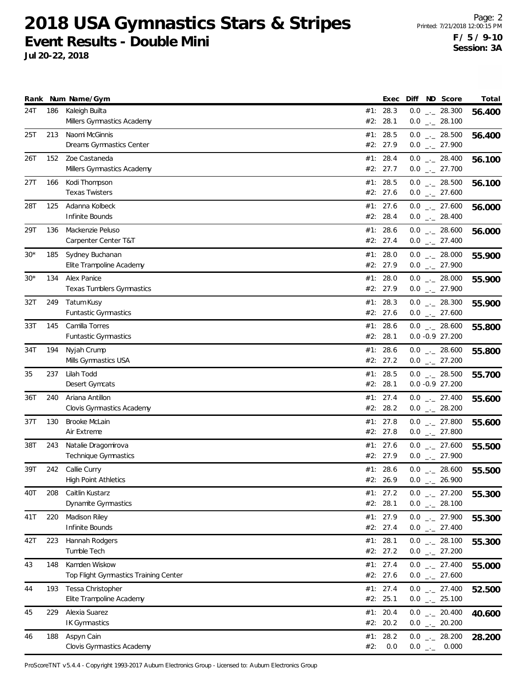**Jul 20-22, 2018**

|       |     | Rank Num Name/Gym                                      |     | Exec                   | Diff ND Score                         | Total  |
|-------|-----|--------------------------------------------------------|-----|------------------------|---------------------------------------|--------|
| 24T   | 186 | Kaleigh Builta<br>Millers Gymnastics Academy           | #2: | #1: 28.3<br>28.1       | $0.0$ _ 28.300<br>$0.0$ _ 28.100      | 56.400 |
| 25T   | 213 | Naomi McGinnis<br>Dreams Gymnastics Center             |     | #1: 28.5<br>#2: 27.9   | $0.0$ _ 28.500<br>$0.0$ $_{-}$ 27.900 | 56.400 |
| 26T   | 152 | Zoe Castaneda<br>Millers Gymnastics Academy            |     | #1: 28.4<br>#2: 27.7   | $0.0$ _ 28.400<br>$0.0$ _ 27.700      | 56.100 |
| 27T   | 166 | Kodi Thompson<br><b>Texas Twisters</b>                 |     | #1: 28.5<br>#2: 27.6   | $0.0$ _ 28.500<br>$0.0$ _ 27.600      | 56.100 |
| 28T   | 125 | Adanna Kolbeck<br>Infinite Bounds                      |     | #1: 27.6<br>#2: 28.4   | $0.0$ _ 27.600<br>$0.0$ _ 28.400      | 56.000 |
| 29T   | 136 | Mackenzie Peluso<br>Carpenter Center T&T               |     | #1: 28.6<br>#2: 27.4   | $0.0$ _ 28.600<br>$0.0$ _ 27.400      | 56.000 |
| 30*   | 185 | Sydney Buchanan<br>Elite Trampoline Academy            |     | #1: 28.0<br>#2: 27.9   | $0.0$ _ 28.000<br>$0.0$ _ 27.900      | 55.900 |
| $30*$ | 134 | Alex Panice<br>Texas Tumblers Gymnastics               |     | #1: 28.0<br>#2: 27.9   | $0.0$ _ 28.000<br>$0.0$ $_{-}$ 27.900 | 55.900 |
| 32T   | 249 | Tatum Kusy<br><b>Funtastic Gymnastics</b>              |     | #1: 28.3<br>#2: 27.6   | $0.0$ _ 28.300<br>$0.0$ _ 27.600      | 55.900 |
| 33T   | 145 | Camilla Torres<br><b>Funtastic Gymnastics</b>          |     | #1: 28.6<br>#2: 28.1   | $0.0$ _ 28.600<br>$0.0 - 0.9 27.200$  | 55.800 |
| 34T   | 194 | Nyjah Crump<br>Mills Gymnastics USA                    |     | #1: 28.6<br>#2: 27.2   | $0.0$ _ 28.600<br>$0.0$ $_{-}$ 27.200 | 55.800 |
| 35    | 237 | Lilah Todd<br>Desert Gymcats                           |     | #1: 28.5<br>#2: 28.1   | $0.0$ _ 28.500<br>$0.0 - 0.9 27.200$  | 55.700 |
| 36T   | 240 | Ariana Antillon<br>Clovis Gymnastics Academy           |     | #1: 27.4<br>#2: 28.2   | $0.0$ _ 27.400<br>$0.0$ $_{-}$ 28.200 | 55.600 |
| 37T   | 130 | Brooke McLain<br>Air Extreme                           |     | #1: $27.8$<br>#2: 27.8 | $0.0$ _ 27.800<br>$0.0$ _ 27.800      | 55.600 |
| 38T   | 243 | Natalie Dragomirova<br><b>Technique Gymnastics</b>     |     | #1: 27.6<br>#2: 27.9   | $0.0$ _ 27.600<br>$0.0$ _ 27.900      | 55.500 |
| 39T   | 242 | Callie Curry<br><b>High Point Athletics</b>            |     | #1: 28.6<br>#2: 26.9   | $0.0$ _ 28.600<br>$0.0$ _ 26.900      | 55.500 |
| 40T   | 208 | Caitlin Kustarz<br>Dynamite Gymnastics                 |     | #1: 27.2<br>#2: 28.1   | $0.0$ $_{-}$ 27.200<br>$0.0$ _ 28.100 | 55.300 |
| 41T   | 220 | Madison Riley<br>Infinite Bounds                       |     | #1: 27.9<br>#2: 27.4   | $0.0$ _ 27.900<br>$0.0$ $_{-}$ 27.400 | 55.300 |
| 42T   | 223 | Hannah Rodgers<br>Tumble Tech                          |     | #1: 28.1<br>#2: 27.2   | $0.0$ _ 28.100<br>$0.0$ _ 27.200      | 55.300 |
| 43    | 148 | Kamden Wiskow<br>Top Flight Gymnastics Training Center |     | #1: 27.4<br>#2: 27.6   | $0.0$ _ 27.400<br>$0.0$ _ 27.600      | 55.000 |
| 44    | 193 | Tessa Christopher<br>Elite Trampoline Academy          |     | #1: 27.4<br>#2: 25.1   | $0.0$ _ 27.400<br>$0.0$ _ 25.100      | 52.500 |
| 45    | 229 | Alexia Suarez<br><b>IK Gymnastics</b>                  |     | #1: 20.4<br>#2: 20.2   | $0.0$ _ 20.400<br>$0.0$ _ 20.200      | 40.600 |
| 46    | 188 | Aspyn Cain<br>Clovis Gymnastics Academy                | #2: | #1: 28.2<br>0.0        | $0.0$ _ 28.200<br>$0.0$ _ 0.000       | 28.200 |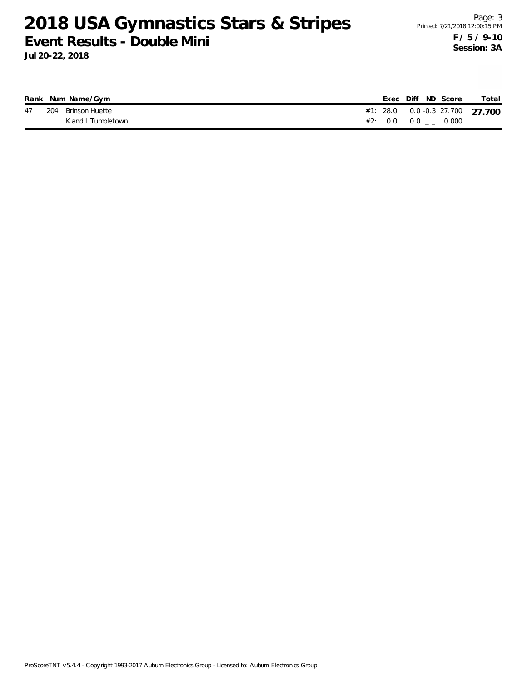|  | Rank Num Name/Gym     |  |  | Exec Diff ND Score            | Total                               |
|--|-----------------------|--|--|-------------------------------|-------------------------------------|
|  | 47 204 Brinson Huette |  |  |                               | #1: 28.0  0.0  -0.3  27.700  27.700 |
|  | K and L Tumbletown    |  |  | #2: $0.0$ $0.0$ $1.0$ $0.000$ |                                     |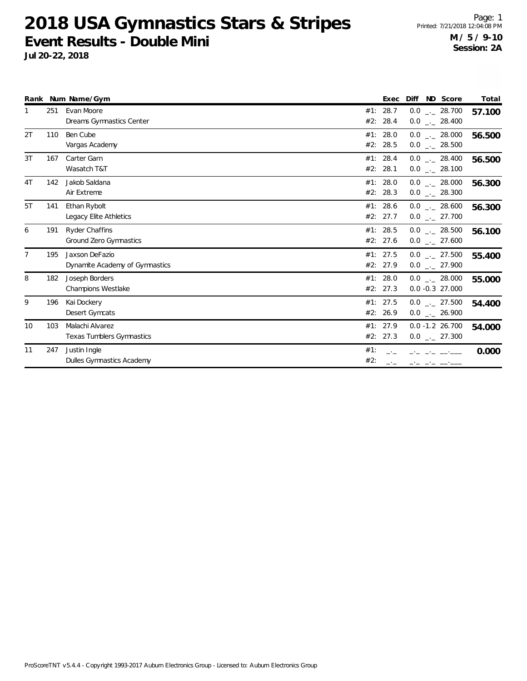|                |     | Rank Num Name/Gym                                      |            | Exec                 | Diff<br>ND Score                                   | Total  |
|----------------|-----|--------------------------------------------------------|------------|----------------------|----------------------------------------------------|--------|
| 1              | 251 | Evan Moore<br>Dreams Gymnastics Center                 | #2:        | #1: 28.7<br>28.4     | $0.0$ _ 28.700<br>$0.0$ _. 28.400                  | 57.100 |
| 2T             | 110 | Ben Cube<br>Vargas Academy                             |            | #1: 28.0<br>#2: 28.5 | $0.0$ _._ 28.000<br>$0.0$ _._ 28.500               | 56.500 |
| 3T             | 167 | Carter Garn<br>Wasatch T&T                             |            | #1: 28.4<br>#2: 28.1 | $0.0$ _ 28.400<br>$0.0$ _ 28.100                   | 56.500 |
| 4 <sub>T</sub> | 142 | Jakob Saldana<br>Air Extreme                           |            | #1: 28.0<br>#2: 28.3 | $0.0$ _._ 28.000<br>$0.0$ _ 28.300                 | 56.300 |
| 5T             | 141 | Ethan Rybolt<br>Legacy Elite Athletics                 |            | #1: 28.6<br>#2: 27.7 | $0.0$ _._ 28.600<br>$0.0$ _._ 27.700               | 56.300 |
| 6              | 191 | <b>Ryder Chaffins</b><br><b>Ground Zero Gymnastics</b> |            | #1: 28.5<br>#2: 27.6 | $0.0$ _._ 28.500<br>$0.0$ _._ 27.600               | 56.100 |
| $\overline{7}$ | 195 | Jaxson DeFazio<br>Dynamite Academy of Gymnastics       |            | #1: 27.5<br>#2: 27.9 | $0.0$ _ 27.500<br>$0.0$ _ 27.900                   | 55.400 |
| 8              | 182 | Joseph Borders<br><b>Champions Westlake</b>            |            | #1: 28.0<br>#2: 27.3 | $0.0$ _._ 28.000<br>$0.0 - 0.3$ 27.000             | 55.000 |
| 9              | 196 | Kai Dockery<br>Desert Gymcats                          |            | #1: 27.5<br>#2: 26.9 | $0.0$ _._ 27.500<br>$0.0$ _._ 26.900               | 54.400 |
| 10             | 103 | Malachi Alvarez<br><b>Texas Tumblers Gymnastics</b>    |            | #1: 27.9<br>#2: 27.3 | $0.0 - 1.2 26.700$<br>$0.0$ $_{\leftarrow}$ 27.300 | 54.000 |
| 11             | 247 | Justin Ingle<br>Dulles Gymnastics Academy              | #1:<br>#2: |                      |                                                    | 0.000  |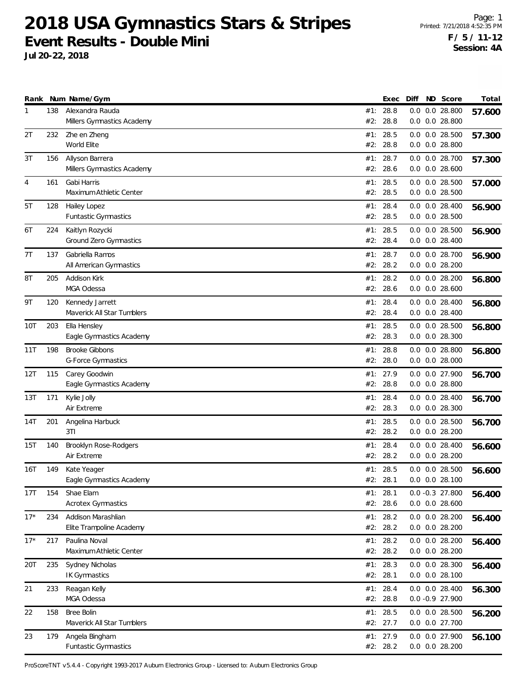**Jul 20-22, 2018**

|                |     | Rank Num Name/Gym                               |            | Exec                   | Diff | ND Score                                 | Total  |
|----------------|-----|-------------------------------------------------|------------|------------------------|------|------------------------------------------|--------|
| 1              | 138 | Alexandra Rauda<br>Millers Gymnastics Academy   | #2:        | #1: 28.8<br>28.8       | 0.0  | $0.0$ 28.800<br>$0.0$ $0.0$ 28.800       | 57.600 |
| 2T             | 232 | Zhe en Zheng<br>World Elite                     |            | #1: 28.5<br>#2: 28.8   |      | $0.0$ $0.0$ 28.500<br>$0.0$ $0.0$ 28.800 | 57.300 |
| 3T             | 156 | Allyson Barrera<br>Millers Gymnastics Academy   | #1:        | 28.7<br>#2: 28.6       |      | 0.0 0.0 28.700<br>$0.0$ $0.0$ 28.600     | 57.300 |
| $\overline{4}$ | 161 | Gabi Harris<br>Maximum Athletic Center          | #2:        | #1: 28.5<br>28.5       |      | $0.0$ $0.0$ 28.500<br>$0.0$ $0.0$ 28.500 | 57.000 |
| 5T             | 128 | Hailey Lopez<br>Funtastic Gymnastics            | #1:        | 28.4<br>#2: 28.5       |      | $0.0$ $0.0$ 28.400<br>$0.0$ $0.0$ 28.500 | 56.900 |
| 6T             | 224 | Kaitlyn Rozycki<br>Ground Zero Gymnastics       | #1:        | 28.5<br>#2: 28.4       |      | $0.0$ $0.0$ 28.500<br>$0.0$ $0.0$ 28.400 | 56.900 |
| 7T             | 137 | Gabriella Ramos<br>All American Gymnastics      | #2:        | #1: 28.7<br>28.2       |      | 0.0 0.0 28.700<br>$0.0$ $0.0$ 28.200     | 56.900 |
| 8T             | 205 | Addison Kirk<br>MGA Odessa                      | #1:<br>#2: | 28.2<br>28.6           |      | $0.0$ $0.0$ 28.200<br>$0.0$ $0.0$ 28.600 | 56.800 |
| 9T             | 120 | Kennedy Jarrett<br>Maverick All Star Tumblers   | #1:        | 28.4<br>#2: 28.4       |      | $0.0$ $0.0$ 28.400<br>$0.0$ $0.0$ 28.400 | 56.800 |
| 10T            | 203 | Ella Hensley<br>Eagle Gymnastics Academy        |            | #1: 28.5<br>#2: 28.3   |      | $0.0$ $0.0$ 28.500<br>$0.0$ $0.0$ 28.300 | 56.800 |
| 11T            | 198 | <b>Brooke Gibbons</b><br>G-Force Gymnastics     |            | #1: 28.8<br>#2: 28.0   |      | $0.0$ $0.0$ 28.800<br>$0.0$ $0.0$ 28.000 | 56.800 |
| 12T            | 115 | Carey Goodwin<br>Eagle Gymnastics Academy       | #1:<br>#2: | 27.9<br>28.8           |      | 0.0 0.0 27.900<br>$0.0$ $0.0$ 28.800     | 56.700 |
| 13T            | 171 | Kylie Jolly<br>Air Extreme                      |            | #1: 28.4<br>#2: 28.3   |      | $0.0$ $0.0$ 28.400<br>$0.0$ $0.0$ 28.300 | 56.700 |
| 14T            | 201 | Angelina Harbuck<br>3T1                         |            | #1: 28.5<br>#2: 28.2   |      | $0.0$ $0.0$ 28.500<br>$0.0$ $0.0$ 28.200 | 56.700 |
| 15T            | 140 | Brooklyn Rose-Rodgers<br>Air Extreme            | #1:        | 28.4<br>#2: 28.2       |      | $0.0$ $0.0$ 28.400<br>$0.0$ $0.0$ 28.200 | 56.600 |
| 16T            | 149 | Kate Yeager<br>Eagle Gymnastics Academy         |            | #1: 28.5<br>#2: 28.1   |      | $0.0$ $0.0$ 28.500<br>$0.0$ $0.0$ 28.100 | 56.600 |
| 17T            | 154 | Shae Elam<br><b>Acrotex Gymnastics</b>          |            | #1: 28.1<br>#2: 28.6   |      | $0.0 - 0.3$ 27.800<br>$0.0$ $0.0$ 28.600 | 56.400 |
| $17*$          | 234 | Addison Marashlian<br>Elite Trampoline Academy  |            | #1: 28.2<br>#2: 28.2   |      | $0.0$ $0.0$ 28.200<br>$0.0$ $0.0$ 28.200 | 56.400 |
| $17*$          | 217 | Paulina Noval<br>Maximum Athletic Center        |            | #1: 28.2<br>#2: 28.2   |      | 0.0 0.0 28.200<br>0.0 0.0 28.200         | 56.400 |
| 20T            | 235 | Sydney Nicholas<br>IK Gymnastics                | #1:        | 28.3<br>#2: 28.1       |      | 0.0 0.0 28.300<br>$0.0$ $0.0$ 28.100     | 56.400 |
| 21             | 233 | Reagan Kelly<br>MGA Odessa                      |            | #1: 28.4<br>#2: 28.8   |      | $0.0$ $0.0$ 28.400<br>$0.0 - 0.9 27.900$ | 56.300 |
| 22             | 158 | <b>Bree Bolin</b><br>Maverick All Star Tumblers |            | #1: $28.5$<br>#2: 27.7 |      | 0.0 0.0 28.500<br>0.0 0.0 27.700         | 56.200 |
| 23             | 179 | Angela Bingham<br>Funtastic Gymnastics          |            | #1: 27.9<br>#2: 28.2   |      | 0.0 0.0 27.900<br>0.0 0.0 28.200         | 56.100 |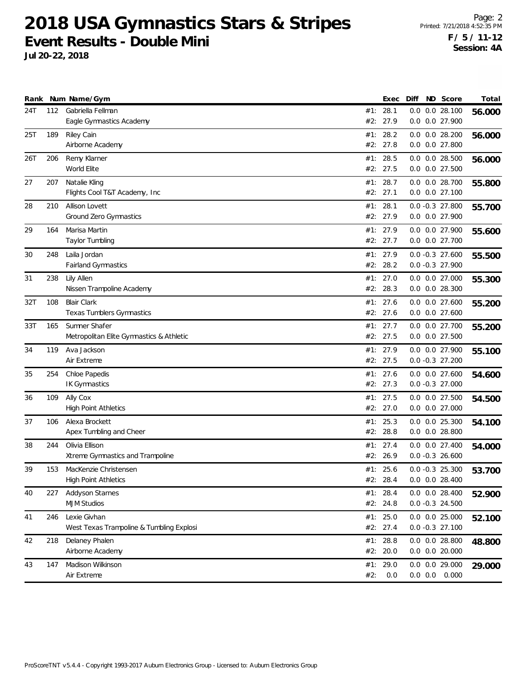**Jul 20-22, 2018**

Page: 2 Printed: 7/21/2018 4:52:35 PM **F / 5 / 11-12 Session: 4A**

|     |     | Rank Num Name/Gym                        |     | Exec     | Diff | ND Score             | Total  |
|-----|-----|------------------------------------------|-----|----------|------|----------------------|--------|
| 24T | 112 | Gabriella Fellman                        |     | #1: 28.1 |      | $0.0$ $0.0$ 28.100   | 56.000 |
|     |     | Eagle Gymnastics Academy                 |     | #2: 27.9 |      | 0.0 0.0 27.900       |        |
| 25T | 189 | Riley Cain                               | #1: | 28.2     |      | $0.0$ $0.0$ 28.200   | 56.000 |
|     |     | Airborne Academy                         |     | #2: 27.8 |      | $0.0$ $0.0$ 27.800   |        |
| 26T | 206 | Remy Klarner                             |     | #1: 28.5 |      | $0.0$ $0.0$ 28.500   | 56.000 |
|     |     | World Elite                              |     | #2: 27.5 |      | 0.0 0.0 27.500       |        |
| 27  | 207 | Natalie Kling                            |     | #1: 28.7 |      | 0.0 0.0 28.700       | 55.800 |
|     |     | Flights Cool T&T Academy, Inc.           |     | #2: 27.1 |      | $0.0$ $0.0$ 27.100   |        |
| 28  | 210 | Allison Lovett                           |     | #1: 28.1 |      | $0.0 -0.3$ 27.800    | 55.700 |
|     |     | Ground Zero Gymnastics                   |     | #2: 27.9 |      | 0.0 0.0 27.900       |        |
| 29  | 164 | Marisa Martin                            |     | #1: 27.9 |      | 0.0 0.0 27.900       | 55.600 |
|     |     | Taylor Tumbling                          |     | #2: 27.7 |      | 0.0 0.0 27.700       |        |
| 30  | 248 | Laila Jordan                             |     | #1: 27.9 |      | $0.0 -0.3$ 27.600    | 55.500 |
|     |     | <b>Fairland Gymnastics</b>               |     | #2: 28.2 |      | $0.0 - 0.3$ 27.900   |        |
| 31  | 238 | Lily Allen                               |     | #1: 27.0 |      | $0.0$ $0.0$ 27.000   | 55.300 |
|     |     | Nissen Trampoline Academy                | #2: | 28.3     |      | $0.0$ $0.0$ 28.300   |        |
| 32T | 108 | <b>Blair Clark</b>                       |     | #1: 27.6 |      | 0.0 0.0 27.600       | 55.200 |
|     |     | <b>Texas Tumblers Gymnastics</b>         |     | #2: 27.6 |      | 0.0 0.0 27.600       |        |
| 33T | 165 | Sumner Shafer                            |     | #1: 27.7 |      | $0.0$ $0.0$ 27.700   | 55.200 |
|     |     | Metropolitan Elite Gymnastics & Athletic |     | #2: 27.5 |      | 0.0 0.0 27.500       |        |
| 34  | 119 | Ava Jackson                              |     | #1: 27.9 |      | 0.0 0.0 27.900       | 55.100 |
|     |     | Air Extreme                              |     | #2: 27.5 |      | $0.0 - 0.3$ 27.200   |        |
| 35  | 254 | Chloe Papedis                            |     | #1: 27.6 |      | $0.0$ $0.0$ 27.600   | 54.600 |
|     |     | <b>IK Gymnastics</b>                     |     | #2: 27.3 |      | $0.0 - 0.3$ 27.000   |        |
| 36  | 109 | Ally Cox                                 |     | #1: 27.5 |      | 0.0 0.0 27.500       | 54.500 |
|     |     | <b>High Point Athletics</b>              |     | #2: 27.0 |      | 0.0 0.0 27.000       |        |
| 37  | 106 | Alexa Brockett                           |     | #1: 25.3 |      | $0.0$ $0.0$ $25.300$ | 54.100 |
|     |     | Apex Tumbling and Cheer                  |     | #2: 28.8 |      | $0.0$ $0.0$ 28.800   |        |
| 38  | 244 | Olivia Ellison                           |     | #1: 27.4 |      | 0.0 0.0 27.400       | 54.000 |
|     |     | Xtreme Gymnastics and Trampoline         |     | #2: 26.9 |      | $0.0 - 0.3$ 26.600   |        |
| 39  | 153 | MacKenzie Christensen                    |     | #1: 25.6 |      | $0.0 -0.3$ 25.300    | 53.700 |
|     |     | <b>High Point Athletics</b>              |     | #2: 28.4 |      | $0.0$ $0.0$ 28.400   |        |
| 40  | 227 | <b>Addyson Starnes</b>                   |     | #1: 28.4 |      | $0.0$ $0.0$ 28.400   | 52.900 |
|     |     | <b>MJM Studios</b>                       |     | #2: 24.8 |      | $0.0 -0.3$ 24.500    |        |
| 41  | 246 | Lexie Givhan                             |     | #1: 25.0 |      | $0.0$ $0.0$ 25.000   | 52.100 |
|     |     | West Texas Trampoline & Tumbling Explosi |     | #2: 27.4 |      | $0.0 - 0.3$ 27.100   |        |
| 42  | 218 | Delaney Phalen                           |     | #1: 28.8 |      | $0.0$ $0.0$ 28.800   | 48.800 |
|     |     | Airborne Academy                         |     | #2: 20.0 |      | $0.0$ $0.0$ 20.000   |        |
| 43  | 147 | Madison Wilkinson                        |     | #1: 29.0 |      | $0.0$ $0.0$ 29.000   | 29.000 |
|     |     | Air Extreme                              | #2: | 0.0      |      | $0.0$ $0.0$ $0.000$  |        |
|     |     |                                          |     |          |      |                      |        |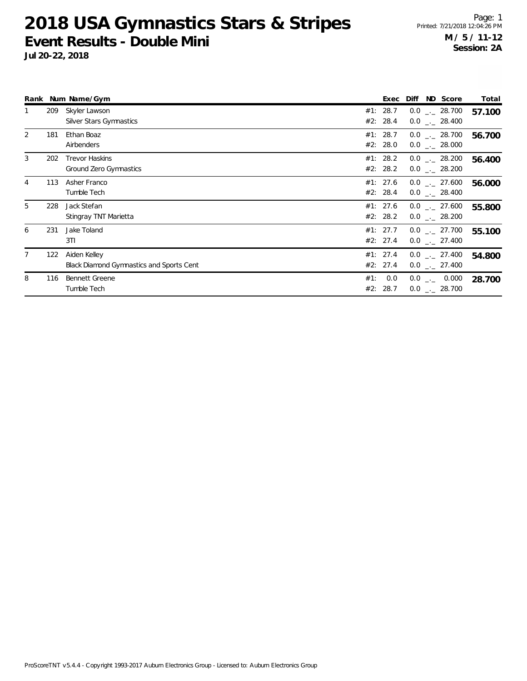| Rank           |     | Num Name/Gym                                                    |     | Exec                 | Diff | ND Score                              | Total  |
|----------------|-----|-----------------------------------------------------------------|-----|----------------------|------|---------------------------------------|--------|
|                | 209 | Skyler Lawson<br>Silver Stars Gymnastics                        |     | #1: 28.7<br>#2: 28.4 |      | $0.0$ _ 28.700<br>$0.0$ _ 28.400      | 57.100 |
| 2              | 181 | Ethan Boaz<br>Airbenders                                        |     | #1: 28.7<br>#2: 28.0 |      | $0.0$ _._ 28.700<br>$0.0$ _._ 28.000  | 56.700 |
| 3              | 202 | <b>Trevor Haskins</b><br>Ground Zero Gymnastics                 |     | #1: 28.2<br>#2: 28.2 |      | $0.0$ _._ 28.200<br>$0.0$ _ $-28.200$ | 56.400 |
| $\overline{4}$ | 113 | Asher Franco<br>Tumble Tech                                     |     | #1: 27.6<br>#2: 28.4 |      | $0.0$ _ 27.600<br>$0.0$ _._ 28.400    | 56.000 |
| 5              | 228 | Jack Stefan<br>Stingray TNT Marietta                            |     | #1: 27.6<br>#2: 28.2 |      | $0.0$ _._ 27.600<br>$0.0$ . 28.200    | 55.800 |
| 6              | 231 | Jake Toland<br>3T1                                              |     | #1: 27.7<br>#2: 27.4 |      | $0.0$ _._ 27.700<br>$0.0$ _ $-27.400$ | 55.100 |
| 7              | 122 | Aiden Kelley<br><b>Black Diamond Gymnastics and Sports Cent</b> |     | #1: 27.4<br>#2: 27.4 |      | $0.0$ _._ 27.400<br>$0.0$ _._ 27.400  | 54.800 |
| 8              | 116 | <b>Bennett Greene</b><br>Tumble Tech                            | #1: | 0.0<br>#2: 28.7      |      | $0.0$ _._ 0.000<br>$0.0$ _ 28.700     | 28.700 |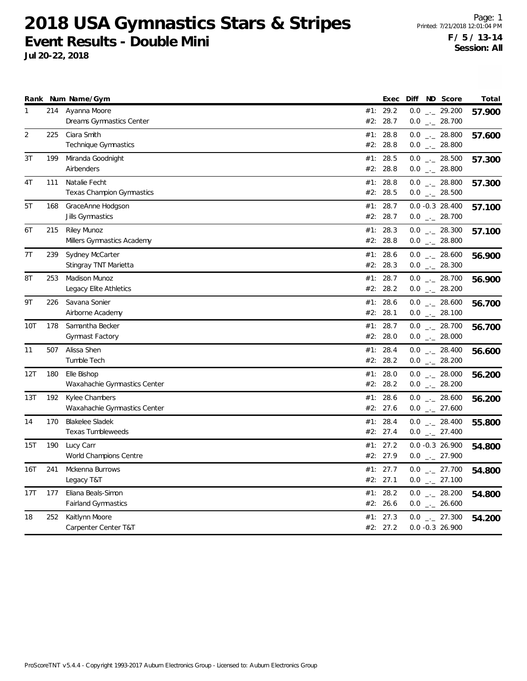|              |     | Rank Num Name/Gym                                  | Diff ND Score<br>Exec                                             | Total  |
|--------------|-----|----------------------------------------------------|-------------------------------------------------------------------|--------|
| $\mathbf{1}$ | 214 | Ayanna Moore<br>Dreams Gymnastics Center           | 29.2<br>$0.0$ _ 29.200<br>#1:<br>#2: 28.7<br>$0.0$ _ 28.700       | 57.900 |
| 2            | 225 | Ciara Smith<br>Technique Gymnastics                | $0.0$ _ 28.800<br>#1: 28.8<br>#2: 28.8<br>$0.0$ _ 28.800          | 57.600 |
| 3T           | 199 | Miranda Goodnight<br>Airbenders                    | #1: 28.5<br>$0.0$ _ 28.500<br>#2:<br>28.8<br>$0.0$ _._ 28.800     | 57.300 |
| 4T           | 111 | Natalie Fecht<br><b>Texas Champion Gymnastics</b>  | $0.0$ _ 28.800<br>#1: 28.8<br>#2:<br>28.5<br>$0.0$ _ 28.500       | 57.300 |
| 5T           | 168 | GraceAnne Hodgson<br>Jills Gymnastics              | #1: 28.7<br>$0.0 - 0.3$ 28.400<br>#2:<br>28.7<br>$0.0$ _._ 28.700 | 57.100 |
| 6T           | 215 | <b>Riley Munoz</b><br>Millers Gymnastics Academy   | #1: 28.3<br>$0.0$ _ 28.300<br>#2: 28.8<br>$0.0$ _ 28.800          | 57.100 |
| 7T           | 239 | Sydney McCarter<br>Stingray TNT Marietta           | #1: 28.6<br>$0.0$ _._ 28.600<br>#2: 28.3<br>$0.0$ _ 28.300        | 56.900 |
| 8T           | 253 | Madison Munoz<br>Legacy Elite Athletics            | #1: 28.7<br>$0.0$ _ 28.700<br>#2: 28.2<br>$0.0$ _ 28.200          | 56.900 |
| 9T           | 226 | Savana Sonier<br>Airborne Academy                  | #1: 28.6<br>$0.0$ _ 28.600<br>#2:<br>28.1<br>$0.0$ _ 28.100       | 56.700 |
| 10T          | 178 | Samantha Becker<br>Gymnast Factory                 | #1: 28.7<br>$0.0$ _ 28.700<br>#2: 28.0<br>$0.0$ _ 28.000          | 56.700 |
| 11           | 507 | Alissa Shen<br>Tumble Tech                         | $0.0$ _ 28.400<br>28.4<br>#1:<br>#2: 28.2<br>$0.0$ _ 28.200       | 56.600 |
| 12T          | 180 | Elle Bishop<br>Waxahachie Gymnastics Center        | $0.0$ _ 28.000<br>28.0<br>#1:<br>#2: 28.2<br>$0.0$ _ 28.200       | 56.200 |
| 13T          | 192 | Kylee Chambers<br>Waxahachie Gymnastics Center     | $0.0$ _ 28.600<br>#1: 28.6<br>#2: 27.6<br>$0.0$ _ 27.600          | 56.200 |
| 14           | 170 | <b>Blakelee Sladek</b><br><b>Texas Tumbleweeds</b> | $0.0$ _ 28.400<br>#1: 28.4<br>#2: 27.4<br>$0.0$ _._ 27.400        | 55.800 |
| 15T          | 190 | Lucy Carr<br>World Champions Centre                | $0.0 - 0.3 26.900$<br>#1: 27.2<br>$0.0$ _ 27.900<br>#2: 27.9      | 54.800 |
| 16T          | 241 | Mckenna Burrows<br>Legacy T&T                      | #1: 27.7<br>$0.0$ _ 27.700<br>#2: 27.1<br>$0.0$ _ 27.100          | 54.800 |
| 17T          | 177 | Eliana Beals-Simon<br><b>Fairland Gymnastics</b>   | #1: 28.2<br>$0.0$ _ 28.200<br>#2: 26.6<br>$0.0$ _ 26.600          | 54.800 |
| 18           | 252 | Kaitlynn Moore<br>Carpenter Center T&T             | #1: 27.3<br>$0.0$ _._ 27.300<br>#2: 27.2<br>$0.0 - 0.3$ 26.900    | 54.200 |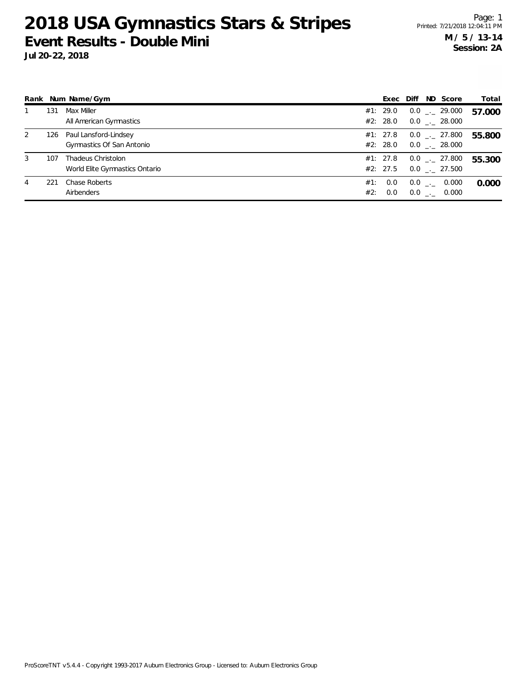**Jul 20-22, 2018**

|   |     | Rank Num Name/Gym                                    |            | Exec                 | Diff | ND Score                              | Total  |
|---|-----|------------------------------------------------------|------------|----------------------|------|---------------------------------------|--------|
|   | 131 | Max Miller<br>All American Gymnastics                |            | #1: 29.0<br>#2: 28.0 |      | $0.0$ _._ 29.000<br>$0.0$ _._ 28.000  | 57.000 |
| 2 | 126 | Paul Lansford-Lindsey<br>Gymnastics Of San Antonio   |            | #1: 27.8<br>#2: 28.0 |      | $0.0$ _._ 27.800<br>$0.0$ _._ 28.000  | 55.800 |
| 3 | 107 | Thadeus Christolon<br>World Elite Gymnastics Ontario |            | #1: 27.8<br>#2: 27.5 |      | $0.0$ _ $-27.800$<br>$0.0$ _._ 27.500 | 55.300 |
| 4 | 221 | Chase Roberts<br>Airbenders                          | #1:<br>#2: | 0.0<br>0.0           |      | $0.0$ _._ 0.000<br>$0.0$ _._ 0.000    | 0.000  |